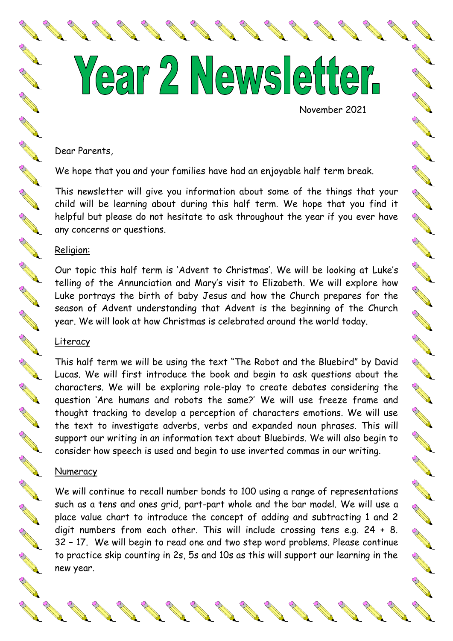Year 2 Newsletter. November 2021

A Maria

**RANGE** 

CONTROLLER

No Cardian

No and the

A March 19

A Maria

A Read of the Contract of the

AND ROAD

No recent de

CONTROLLER

A March

A Maria

A Maria

Dear Parents,

We hope that you and your families have had an enjoyable half term break.

This newsletter will give you information about some of the things that your child will be learning about during this half term. We hope that you find it helpful but please do not hesitate to ask throughout the year if you ever have any concerns or questions.

### Religion:

Our topic this half term is 'Advent to Christmas'. We will be looking at Luke's telling of the Annunciation and Mary's visit to Elizabeth. We will explore how Luke portrays the birth of baby Jesus and how the Church prepares for the season of Advent understanding that Advent is the beginning of the Church year. We will look at how Christmas is celebrated around the world today.

### Literacy

This half term we will be using the text "The Robot and the Bluebird" by David Lucas. We will first introduce the book and begin to ask questions about the characters. We will be exploring role-play to create debates considering the question 'Are humans and robots the same?' We will use freeze frame and thought tracking to develop a perception of characters emotions. We will use the text to investigate adverbs, verbs and expanded noun phrases. This will support our writing in an information text about Bluebirds. We will also begin to consider how speech is used and begin to use inverted commas in our writing.

### Numeracy

We will continue to recall number bonds to 100 using a range of representations such as a tens and ones grid, part-part whole and the bar model. We will use a place value chart to introduce the concept of adding and subtracting 1 and 2 digit numbers from each other. This will include crossing tens e.g. 24 + 8. 32 – 17. We will begin to read one and two step word problems. Please continue to practice skip counting in 2s, 5s and 10s as this will support our learning in the new year.